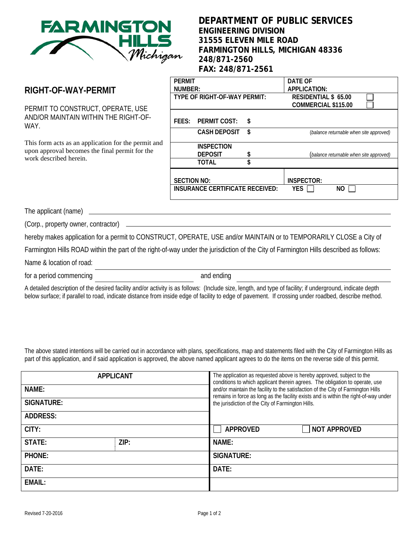

## **DEPARTMENT OF PUBLIC SERVICES ENGINEERING DIVISION 31555 ELEVEN MILE ROAD FARMINGTON HILLS, MICHIGAN 48336 248/871-2560 FAX: 248/871-2561**

## **RIGHT-OF-WAY-PERMIT**

PERMIT TO CONSTRUCT, OPERATE, USE AND/OR MAINTAIN WITHIN THE RIGHT-OF-WAY.

This form acts as an application for the permit and upon approval becomes the final permit for the work described herein.

| <b>PFRMIT</b>                          |                     |                             | DATF OF             |                                         |  |
|----------------------------------------|---------------------|-----------------------------|---------------------|-----------------------------------------|--|
| NUMBER:                                |                     | APPLICATION:                |                     |                                         |  |
| TYPE OF RIGHT-OF-WAY PERMIT:           |                     | <b>RESIDENTIAL \$ 65.00</b> |                     |                                         |  |
|                                        |                     |                             | COMMERCIAL \$115.00 |                                         |  |
|                                        |                     |                             |                     |                                         |  |
|                                        | FEES: PERMIT COST:  | S                           |                     |                                         |  |
|                                        | <b>CASH DEPOSIT</b> | \$                          |                     | (balance returnable when site approved) |  |
|                                        |                     |                             |                     |                                         |  |
|                                        | <b>INSPECTION</b>   |                             |                     |                                         |  |
|                                        | <b>DEPOSIT</b>      |                             |                     | (balance returnable when site approved) |  |
|                                        | TOTAI               |                             |                     |                                         |  |
|                                        |                     |                             |                     |                                         |  |
| <b>SECTION NO:</b>                     |                     |                             | <b>INSPECTOR:</b>   |                                         |  |
| <b>INSURANCE CERTIFICATE RECEIVED:</b> |                     |                             | <b>YES</b>          | NO                                      |  |
|                                        |                     |                             |                     |                                         |  |

The applicant (name)

(Corp., property owner, contractor)

hereby makes application for a permit to CONSTRUCT, OPERATE, USE and/or MAINTAIN or to TEMPORARILY CLOSE a City of

Farmington Hills ROAD within the part of the right-of-way under the jurisdiction of the City of Farmington Hills described as follows:

Name & location of road:

for a period commencing and ending and ending

A detailed description of the desired facility and/or activity is as follows: (Include size, length, and type of facility; if underground, indicate depth below surface; if parallel to road, indicate distance from inside edge of facility to edge of pavement. If crossing under roadbed, describe method.

The above stated intentions will be carried out in accordance with plans, specifications, map and statements filed with the City of Farmington Hills as part of this application, and if said application is approved, the above named applicant agrees to do the items on the reverse side of this permit.

| NAME:<br><b>SIGNATURE:</b><br><b>ADDRESS:</b> | <b>APPLICANT</b> | The application as requested above is hereby approved, subject to the<br>conditions to which applicant therein agrees. The obligation to operate, use<br>and/or maintain the facility to the satisfaction of the City of Farmington Hills<br>remains in force as long as the facility exists and is within the right-of-way under<br>the jurisdiction of the City of Farmington Hills. |  |  |
|-----------------------------------------------|------------------|----------------------------------------------------------------------------------------------------------------------------------------------------------------------------------------------------------------------------------------------------------------------------------------------------------------------------------------------------------------------------------------|--|--|
| CITY:                                         |                  | <b>NOT APPROVED</b><br><b>APPROVED</b>                                                                                                                                                                                                                                                                                                                                                 |  |  |
| STATE:                                        | ZIP:             | NAME:                                                                                                                                                                                                                                                                                                                                                                                  |  |  |
| PHONE:                                        |                  | SIGNATURE:                                                                                                                                                                                                                                                                                                                                                                             |  |  |
| DATE:                                         |                  | DATE:                                                                                                                                                                                                                                                                                                                                                                                  |  |  |
| <b>EMAIL:</b>                                 |                  |                                                                                                                                                                                                                                                                                                                                                                                        |  |  |